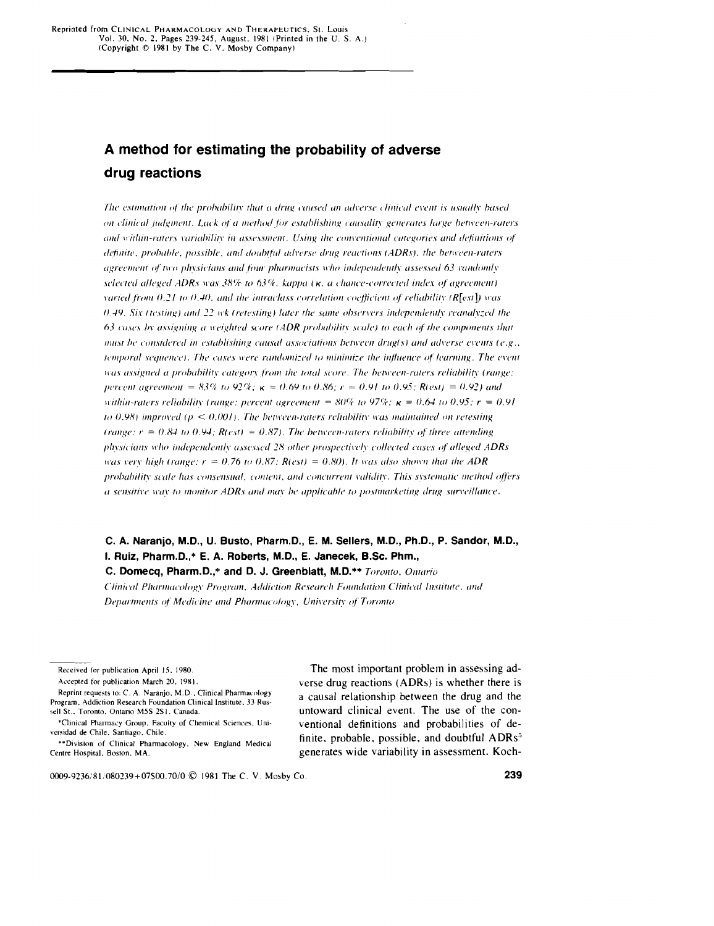## **A method for estimating the probability of adverse drug reactions**

The estimation of the probability that a drug caused an adverse clinical event is usually based on clinical judgment. Lack of a method for establishing causality generates large between-raters and within-raters variability in assessment. Using the conventional categories and definitions of definite, probable, possible, and doubtful adverse drug reactions (ADRs), the between-raters agreement of two physicians and four pharmacists who independently assessed 63 randomly selected alleged ADRs was 38% to 63%, kappa (k, a chance-corrected index of agreement) varied from 0.21 to 0.40, and the intraclass correlation coefficient of reliability (R[est]) was 0.49. Six (testing) and 22 *wk* (retesting) later the same observers independently reanalyzed the 63 cases by assigning a weighted score (ADR probability scale) to each of the components that must be considered in establishing causal associations between drug(s) and adverse events (e.g., temporal sequence). The cases were randomized to minimize the influence of learning. The event was assigned a probability category from the total score. The between-raters reliability (range: percent agreement =  $83\%$  to 92%;  $\kappa = 0.69$  to 0.86;  $r = 0.91$  to 0.95; R(est) = 0.92) and within-raters reliability (range: percent agreement =  $80\%$  to 97%;  $\kappa = 0.64$  to 0.95;  $r = 0.91$ to 0.98) improved ( $p < 0.001$ ). The between-raters reliability was maintained on retesting (range:  $r = 0.84$  to 0.94;  $R(\text{est}) = 0.87$ ). The between-raters reliability of three attending physicians who independently assessed 28 other prospectively collected cases of alleged ADRs was very high (range;  $r = 0.76$  to 0.87;  $R(\text{est}) = 0.80$ ). It was also shown that the ADR probability scale has consensual, content, and concurrent validity. This systematic method offers a sensitive way to monitor ADRs and may be applicable to postmarketing drug surveillance.

**C. A. Naranjo, M.D., U. Busto, Pharm.D., E. M. Sellers, M.D., Ph.D., P. Sandor, M.D., I. Ruiz, Pharm.D.,\* E. A. Roberts, M.D., E. Janecek, B.Sc. Phm., C. Domecq, Pharm.D.,\* and D. J. Greenblatt, M.D.\*\*** Toronto, Ontario

Clinical Pharmacology Program, Addiction Research Foundation Clinical Institute, and Departments of Medicine and Pharmacology, University of Toronto

**Reprint requests to: C. A. Naranjo. M.D** . **Clinical Pharmacology** 

versidad de Chile, Santiago, Chile.

**Received for publication April 15, 1980.** The most important problem in assessing ad-Accepted for publication March 20, 1981. verse drug reactions (ADRs) is whether there is **Program. Addiction Research Foundation Clinical Institute. 33 Rus- a causal relationship between the drug and the**  sell St., Toronto, Ontario M5S 2S1. Canada. until until until untoward clinical event. The use of the con-**'Clinical Pharmacy Group. Faculty of Chemical Sciences, Uni- ventional definitions and of de**version of Clinic, Samago, Clinical Pharmacology. New England Medical *finite*, probable, possible, and doubtful ADRs<sup>5</sup><br>\*\*Division of Clinical Pharmacology. New England Medical generates wide variability in assessment. generates wide variability in assessment. Koch-

**0009-9236iRli080239+07\$00.7010** 0 **1981 The C. V. Mosby Co. <sup>239</sup>**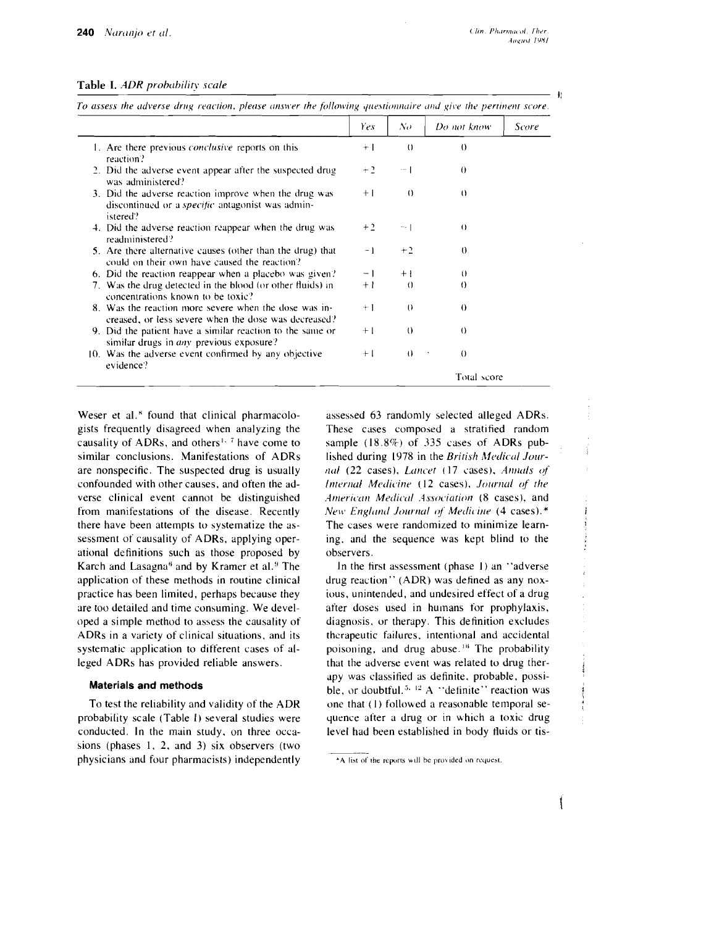II

## **Table I. ADR probability scale**

|                                                                                                                              | Yes. | Nο         | Do not know      | Score |
|------------------------------------------------------------------------------------------------------------------------------|------|------------|------------------|-------|
| 1. Are there previous <i>conclusive</i> reports on this<br>reaction?                                                         | $+1$ | $\theta$   | $\theta$         |       |
| 2. Did the adverse event appear after the suspected drug<br>was administered?                                                | $+2$ | $-1$       | $\theta$         |       |
| 3. Did the adverse reaction improve when the drug was<br>discontinued or a <i>specific</i> antagonist was admin-<br>istered? | $+1$ | $\left($   | $_{()}$          |       |
| 4. Did the adverse reaction reappear when the drug was<br>readministered?                                                    | $+2$ | $\cdots$ 1 | $\theta$         |       |
| 5. Are there alternative causes (other than the drug) that<br>could on their own have caused the reaction?                   | $-1$ | $+2$       | $\theta$         |       |
| 6. Did the reaction reappear when a placebo was given?                                                                       | $-1$ | $+1$       | $\theta$         |       |
| 7. Was the drug detected in the blood (or other fluids) in<br>concentrations known to be toxic?                              | $+1$ | $\theta$   | $\theta$         |       |
| 8. Was the reaction more severe when the dose was in-<br>creased, or less severe when the dose was decreased?                | $+1$ | $\cup$     | $\theta$         |       |
| 9. Did the patient have a similar reaction to the same or<br>similar drugs in <i>any</i> previous exposure?                  | $+1$ | $\Omega$   | $\left($         |       |
| 10. Was the adverse event confirmed by any objective<br>evidence?                                                            | $+1$ | $\cup$     | $\left( \right)$ |       |
|                                                                                                                              |      |            | Total score      |       |

Weser et al.<sup>\*</sup> found that clinical pharmacologists frequently disagreed when analyzing the causality of ADRs, and others<sup>1,  $\tau$ </sup> have come to similar conclusions. Manifestations of ADRs are nonspecific. The suspected drug is usually confounded with other causes, and often the adverse clinical event cannot be distinguished from manifestations of the disease. Recently there have been attempts to systematize the assessment of causality of ADRs, applying operational definitions such as those proposed by Karch and Lasagna<sup>6</sup> and by Kramer et al.<sup>9</sup> The application of these methods in routine clinical practice has been limited, perhaps because they are too detailed and time consuming. We developed a simple method to assess the causality of ADRs in a variety of clinical situations, and its systematic application to different cases of alleged ADRs has provided reliable answers.

#### Materials and methods

To test the reliability and validity of the ADK probability scale (Table I) several studies were conducted. In the main study, on three occasions (phases 1, 2. and 3) six observers (two physicians and four pharmacists) independently

assessed 63 randomly selected alleged ADRs. These cases composed a stratified random sample (18.89) of *335* cases of ADRs published during 1978 in the *British Medical Journal* (22 cases), *Lancet* (17 cases), *Annals of Internal Medicine* (12 cases), *Journal of the American Medical Association (8 cases), and New England Journal of Medicine* (4 cases).\* The cases were randomized to minimize learning, and the sequence was kept blind to the observers.

In the first assessment (phase 1) an "adverse drug reaction" (ADR) was defined as any noxious, unintended, and undesired effect of a drug after doses used in humans for prophylaxis, diagnosis, or therapy. This definition excludes therapeutic failures, intentional and accidental poisoning, and drug abuse.<sup>16</sup> The probability that the adverse event was related to drug therapy was classified as definite, probable, possible, or doubtful.<sup>5, 12</sup> A "definite" reaction was one that (1) followed a reasonable temporal sequence after a drug or in which a toxic drug level had been established in body fluids or tis-

<sup>\*</sup>A list of the reports will be provided on request.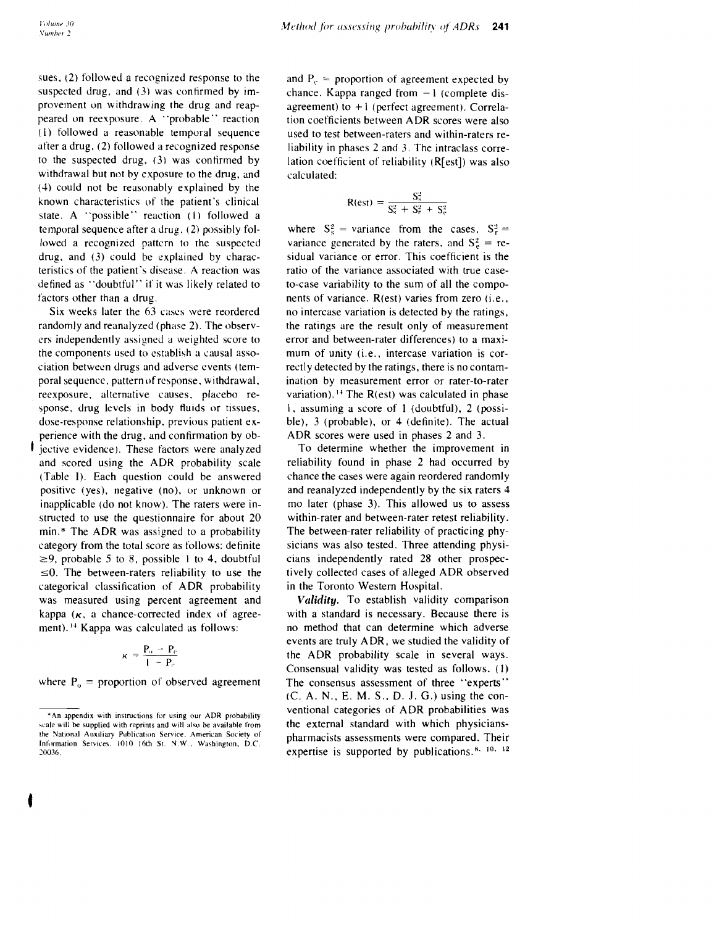sues, (2) followed a recognized response to the suspected drug, and  $(3)$  was confirmed by improvement on withdrawing the drug and reappeared on reexposure. **A** "probable" reaction ( 1) followed a reasonable temporal sequence after a drug. (2) followed a recognized response to the suspected drug, (3) was confirmed by withdrawal but not by exposure to the drug, and (4) could not be reasonably explained by the known characteristics of the patient's clinical state. A "possible" reaction (I) followed a temporal sequence after a drug. (2) possibly followed a recognized pattern to the suspected drug. and (3) could be explained by characteristics of the patient's disease. A reaction was defined as "doubtful" if it was likely related to factors other than a drug.

Six weeks later the 63 cases were reordered randomly and reanalyzed (phase 2). The observers independently assigned a weighted score to the components used to establish a causal association betwecn drugs and adverse events (temporal sequence. pattern of response. withdrawal, reexposure, alternative causes, placebo re sponse, drug levels in body fluids or tissues, dose-response relationship. previous patient experience with the drug, and confirmation by objective evidence). These factors were analyzed and scored using the ADR probability scale (Table I). Each question could be answered positive (yes), negative (no). or unknown or inapplicable (do not know). The raters were instructed to use the questionnaire for about 20 min.\* The ADR was assigned to a probability category from the total score as follows: definite  $\geq$ 9, probable 5 to 8, possible 1 to 4, doubtful  $\leq$ 0. The between-raters reliability to use the categorical classification of ADR probability was measured using percent agreement and kappa  $(\kappa, a$  chance-corrected index of agreement).<sup>14</sup> Kappa was calculated as follows:

$$
\kappa = \frac{P_{\rm o} - P_{\rm c}}{1 - P_{\rm r}}
$$

where  $P_0$  = proportion of observed agreement

and  $P_e$  = proportion of agreement expected by chance. Kappa ranged from  $-1$  (complete disagreement) to  $+1$  (perfect agreement). Correlation coefficients between ADR scores were also used to test between-raters and within-raters reliability in phases 2 and 3. The intraclass correlation coefficient of reliability (R[est]) was also calculated:

$$
R(est) = \frac{S_s^2}{S_s^2 + S_r^2 + S_e^2}
$$

where  $S_s^2$  = variance from the cases,  $S_r^2$  = variance generated by the raters, and  $S_p^2 = re$ sidual variance or error. This coefficient is the ratio of the variance associated with true caseto-case variability to the sum of all the components of variance. R(est) varies from zero (i.e., no intercase variation is detected by the ratings, the ratings are the result only of measurement error and between-rater differences) to a maximum of unity (i.e., intercase variation is correctly detected by the ratings, there is no contamination by measurement error or rater-to-rater variation). **I-'** The R(est) was calculated in phase **1,** assuming a score of 1 (doubtful), 2 (possible), 3 (probable), or 4 (definite). The actual ADR scores were used in phases 2 and 3.

To determine whether the improvement in reliability found in phase 2 had occurred by chance the cases were again reordered randomly and reanalyzed independently by the six raters 4 mo later (phase 3). This allowed us to assess within-rater and between-rater retest reliability. The between-rater reliability of practicing physicians was also tested. Three attending physicians independently rated 28 other prospectively collected cases of alleged ADR observed in the Toronto Western Hospital.

*Validity.* To establish validity comparison with a standard is necessary. Because there is no method that can determine which adverse events are truly ADR, we studied the validity of the ADR probability scale in several ways. Consensual validity was tested as follows. **(1)**  The consensus assessment of three "experts" (C. A. N., E. M. S., D. J. *G.)* using the conventional categories of ADR probabilities was the external standard with which physicianspharmacists assessments were compared. Their expertise is supported by publications.<sup>8, 10, 12</sup>

<sup>\*</sup>An appendix with instructions for using our ADR probability scale will be supplied with reprints and will also be available from the National Auxiliary Publication Service. American Society of Information Services. 1010 16th St. N.W., Washington, D.C. **20036.**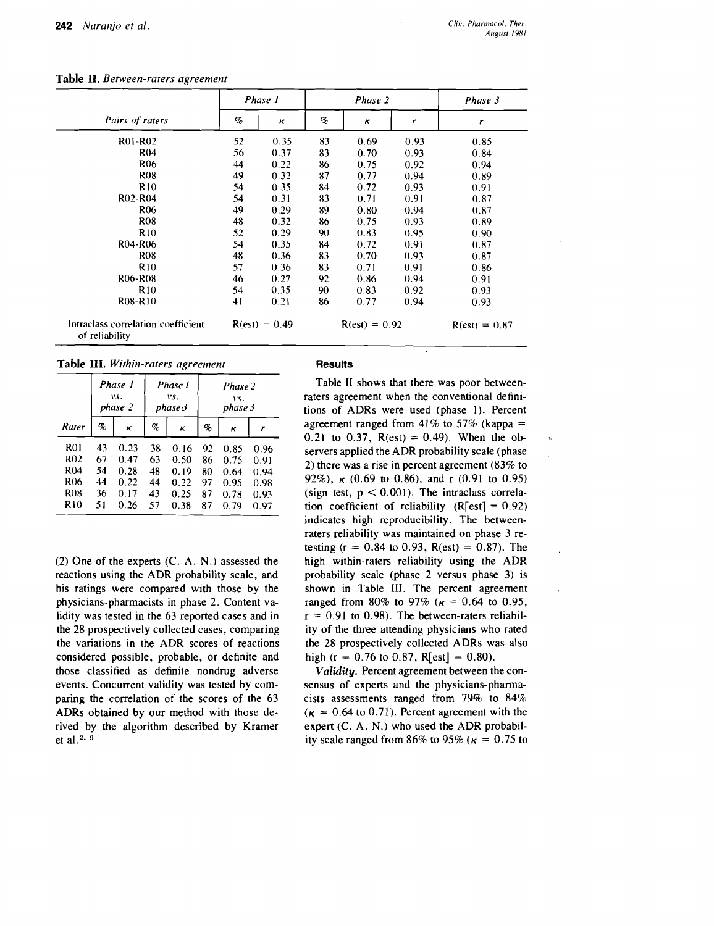## **Table II.** Between-raters agreement

|                                                      |      | Phase 1         |    | Phase 2         |      | Phase 3         |
|------------------------------------------------------|------|-----------------|----|-----------------|------|-----------------|
| Pairs of raters                                      | $\%$ | к               | %  | κ               | r    | r               |
| R01-R02                                              | 52   | 0.35            | 83 | 0.69            | 0.93 | 0.85            |
| R <sub>04</sub>                                      | 56   | 0.37            | 83 | 0.70            | 0.93 | 0.84            |
| <b>R06</b>                                           | 44   | 0.22            | 86 | 0.75            | 0.92 | 0.94            |
| <b>R08</b>                                           | 49   | 0.32            | 87 | 0.77            | 0.94 | 0.89            |
| R <sub>10</sub>                                      | 54   | 0.35            | 84 | 0.72            | 0.93 | 0.91            |
| R <sub>02</sub> -R <sub>04</sub>                     | 54   | 0.31            | 83 | 0.71            | 0.91 | 0.87            |
| R <sub>06</sub>                                      | 49   | 0.29            | 89 | 0.80            | 0.94 | 0.87            |
| <b>R08</b>                                           | 48   | 0.32            | 86 | 0.75            | 0.93 | 0.89            |
| <b>R10</b>                                           | 52   | 0.29            | 90 | 0.83            | 0.95 | 0.90            |
| R04-R06                                              | 54   | 0.35            | 84 | 0.72            | 0.91 | 0.87            |
| <b>R08</b>                                           | 48   | 0.36            | 83 | 0.70            | 0.93 | 0.87            |
| R <sub>10</sub>                                      | 57   | 0.36            | 83 | 0.71            | 0.91 | 0.86            |
| R <sub>06</sub> -R <sub>08</sub>                     | 46   | 0.27            | 92 | 0.86            | 0.94 | 0.91            |
| <b>R10</b>                                           | 54   | 0.35            | 90 | 0.83            | 0.92 | 0.93            |
| R <sub>08</sub> -R <sub>10</sub>                     | 41   | 0.21            | 86 | 0.77            | 0.94 | 0.93            |
| Intraclass correlation coefficient<br>of reliability |      | $R(est) = 0.49$ |    | $R(est) = 0.92$ |      | $R(est) = 0.87$ |

Table **111.** *Within-raters agreement* 

|                 | Phase 1<br>vs.<br>phase 2 |      |      | Phase I<br>VS.<br>phase 3 |    | Phase 2<br>VS.<br>phase 3 |      |
|-----------------|---------------------------|------|------|---------------------------|----|---------------------------|------|
| Rater           | %                         | κ    | $\%$ | к                         | %  | κ                         | r    |
| R01             | 43                        | 0.23 | 38   | 0.16                      | 92 | 0.85                      | 0.96 |
| <b>R02</b>      | 67                        | 0.47 | 63   | 0.50                      | 86 | 0.75                      | 0.91 |
| <b>R04</b>      | 54                        | 0.28 | 48   | 0.19                      | 80 | 0.64                      | 0.94 |
| <b>R06</b>      | 44                        | 0.22 | 44   | 0.22                      | 97 | 0.95                      | 0.98 |
| <b>R08</b>      | 36                        | 0.17 | 43   | 0.25                      | 87 | 0.78                      | 0.93 |
| R <sub>10</sub> | 51                        | 0.26 | 57   | 0.38                      | 87 | 0.79                      | 0.97 |

(2) One of the experts (C. A. N.) assessed the reactions using the ADR probability scale, and his ratings were compared with those by the physicians-pharmacists in phase 2. Content validity was tested in the 63 reported cases and in the 28 prospectively collected cases, comparing the variations in the ADR scores of reactions considered possible, probable, or definite and those classified as definite nondrug adverse events. Concurrent validity was tested by comparing the correlation of the scores of the 63 ADRs obtained by our method with those derived by the algorithm described by Kramer et al.<sup>2, 9</sup>

## **Results**

Table **I1** shows that there was poor betweenraters agreement when the conventional definitions of ADRs were used (phase 1). Percent agreement ranged from  $41\%$  to 57% (kappa = 0.21 to 0.37,  $R(est) = 0.49$ . When the observers applied the ADR probability scale (phase 2) there was a rise in percent agreement (83% to 92%),  $\kappa$  (0.69 to 0.86), and r (0.91 to 0.95) (sign test,  $p < 0.001$ ). The intraclass correlation coefficient of reliability  $(R[est] = 0.92)$ indicates high reproducibility. The betweenraters reliability was maintained on phase 3 retesting  $(r = 0.84 \text{ to } 0.93, R(\text{est}) = 0.87)$ . The high within-raters reliability using the ADR probability scale (phase 2 versus phase 3) is shown in Table **111.** The percent agreement ranged from 80% to 97% ( $\kappa = 0.64$  to 0.95,  $r = 0.91$  to 0.98). The between-raters reliability of the three attending physicians who rated the 28 prospectively collected ADRs was also high ( $r = 0.76$  to 0.87,  $R[est] = 0.80$ ).

Validity. Percent agreement between the consensus of experts and the physicians-pharmacists assessments ranged from 7% to 84%  $K = 0.64$  to 0.71). Percent agreement with the expert (C. A. N.) who used the ADR probability scale ranged from 86% to 95% ( $\kappa = 0.75$  to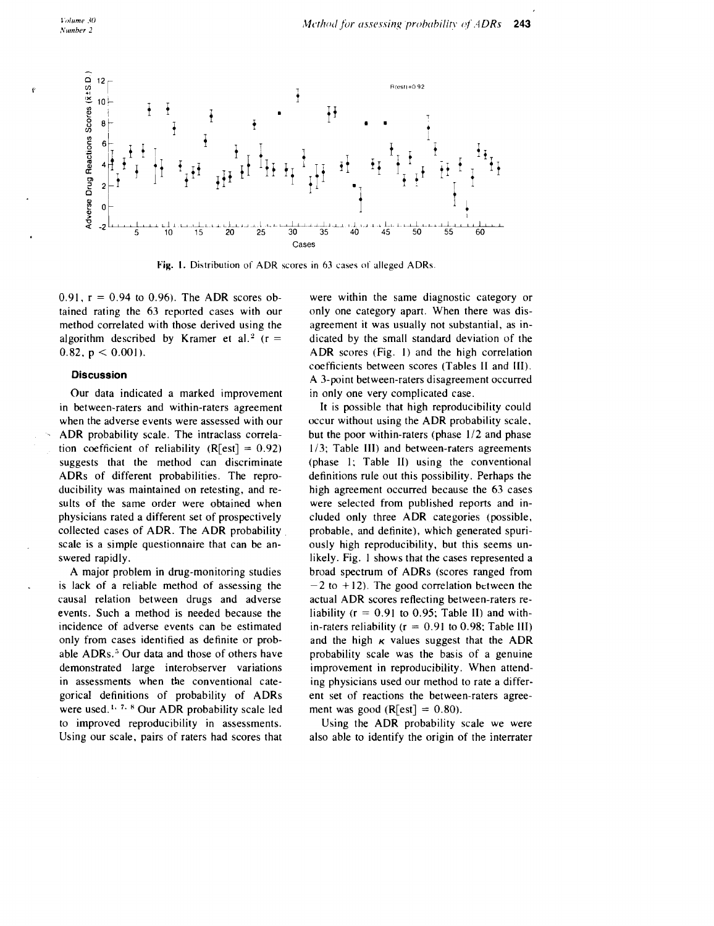$\mathbf{r}$ 



**Fig.** I. Distribution of ADR scores in 63 cases **of** alleged ADRs.

0.91.  $r = 0.94$  to 0.96). The ADR scores obtained rating the 63 reported cases with our method correlated with those derived using the algorithm described by Kramer et al.<sup>2</sup> ( $r =$ 0.82,  $p < 0.001$ ).

#### **Discussion**

Our data indicated a marked improvement in between-raters and within-raters agreement when the adverse events were assessed with our ADR probability scale. The intraclass correlation coefficient of reliability ( $R[est] = 0.92$ ) suggests that the method can discriminate ADRs of different probabilities. The reproducibility was maintained on retesting, and results of the same order were obtained when physicians rated a different set of prospectively collected cases of ADR. The ADR probability scale is a simple questionnaire that can be answered rapidly.

A major problem in drug-monitoring studies is lack of a reliable method of assessing the causal relation between drugs and adverse events. Such a method is needed because the incidence of adverse events can be estimated only from cases identified as definite or probable ADRs." Our data and those of others have demonstrated large interobserver variations in assessments when the conventional categoricaI definitions of probability of ADRs were used.<sup>1, 7, 8</sup> Our ADR probability scale led to improved reproducibility in assessments. Using our scale, pairs of raters had scores that were within the same diagnostic category or only one category apart. When there was disagreement it was usually not substantial, as indicated by the small standard deviation of the ADR scores (Fig. 1) and the high correlation coefficients between scores (Tables I1 and 111). A 3-point between-raters disagreement occurred in only one very complicated case.

It is possible that high reproducibility could occur without using the ADR probability scale, but the poor within-raters (phase  $1/2$  and phase 1/3; Table III) and between-raters agreements (phase 1: Table 11) using the conventional definitions rule out this possibility. Perhaps the high agreement occurred because the 63 cases were selected from published reports and included only three ADR categories (possible, probable, and definite), which generated spuriously high reproducibility, but this seems unlikely. Fig. 1 shows that the cases represented a broad spectrum of ADRs (scores ranged from  $-2$  to  $+12$ ). The good correlation between the actual ADR scores reflecting between-raters reliability ( $r = 0.91$  to 0.95; Table II) and within-raters reliability ( $r = 0.91$  to 0.98; Table III) and the high  $\kappa$  values suggest that the ADR probability scale was the basis of a genuine improvement in reproducibility. When attending physicians used our method to rate a different set of reactions the between-raters agreement was good ( $R[est] = 0.80$ ).

Using the ADR probability scale we were also able to identify the origin of the interrater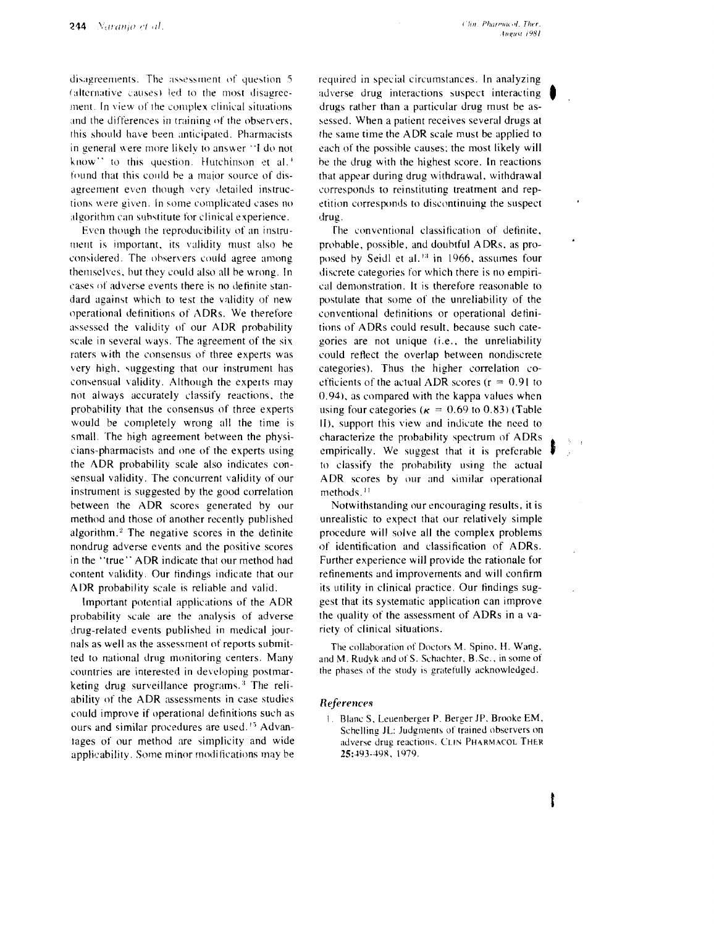disagreements. The assessment of question 5 (alternative causes) led to the most disagreement. In view of the complex clinical situations and the differences in training of the observers, this should have been anticipated. Pharmacists in general were more likely to answer "I do not know" to this question. Hutchinson et al.<sup> $+$ </sup> found that this could be a major source of disagreement even though very detailed instructions were given. In some complicated cases no algorithm can substitute for clinical experience.

Even though the reproducibility of an instrument is important, its validity must also be considered. The observers could agree among themselves, but they could also all be wrong. In cases of adverse events there is no definite standard against which to test the validity of new operational definitions of XDRs. We therefore assessed the validity of our ADR probability scale in several ways. The agreement of the six raters mith the consensus of three experts was \cry high, suggesting that our instrument has consensual validity. Although the experts may not always accurately classify reactions. the probability that the consensus of three experts would be completely wrong all the time is small. The high agreement between the physicians-pharmacists and one of the experts using the RDR probability scale also indicates consensual validity. The concurrent validity of our instrument is suggested by the good correlation between the ADR scores generated by our method and those of another recently published algorithm. $<sup>2</sup>$  The negative scores in the definite</sup> nondrug adverse events and the positive scores in the "true" ADR indicate that our method had content validity. Our tindings indicate that our ADR probability scale is reliable and valid.

Important potential applications of the ADR probability scale are the analysis of adverse drug-related events published in medical journals as well as the assessment of reports submitted to national drug monitoring centers. Many countries are interested in developing postmarketing drug surveillance programs.<sup>3</sup> The reliability of the ADR assessments in case studies could improve if operational delinitions such as ours and similar procedures are used." Advantages of our method are simplicity and wide applicability. Some minor modifications may be required in special circumstances. In analyzing adverse drug interactions suspect interacting drugs rather than a particular drug must be assessed. When a patient receives several drugs at the same time the ADR scale must be applied to each of the possible causes: the most likely will he the drug with the highest score. In reactions that appear during drug withdrawal. withdrawal corresponds to reinstituting treatment and repetition corresponds to disccntinuing the suspect drug.

The conventional classification of definite, probable, possible, and doubtful ADRs. as proposed by Seidl et al.<sup>13</sup> in 1966, assumes four discrete categories For which there is no empirical demonstration, It is therefore reasonable to postulate that some of the unreliability of the conventional detinitions or operational detinitions of ADRs could result. because such categories are not unique (i.e., the unreliability could reflect the overlap between nondiscrete categories). Thus the higher correlation coefficients of the actual ADR scores ( $r = 0.91$  to 0.94), as compared with the kappa values when using four categories ( $\kappa = 0.69$  to 0.83) (Table II), support this view and indicate the need to characterize the probability spectrum of ADRs empirically. We suggest that it is preferable to classify the prohability using the actuaI ADR scores by our and similar operational methods.<sup>11</sup>

Notwithstanding our encouraging results, it is unrealistic to expect that our relatively simple procedure will solve all the complex problems of identification and classification of ADRs. Further experience will provide the rationale for refinements and improvements and will confirm its utility in clinical practice. Our findings suggest that its systematic application can improve the quality of the assessment of ADRs in a variety of clinical situations.

The collaboration of Doctors M. Spino. H. Wang. and M. Rudyk and of S. Schachter. B .Sc.. in some of the phases of the study is gratefully acknowledged.

#### *Rufirur~cua*

<sup>I</sup>. Blanc S, Leuenberger P. Berger JP. Brooke EM. Schelliny JL: Judgments of trained observers on adverse drug reactions. CLIN PHARMACOL THER 25:493-498. 1979.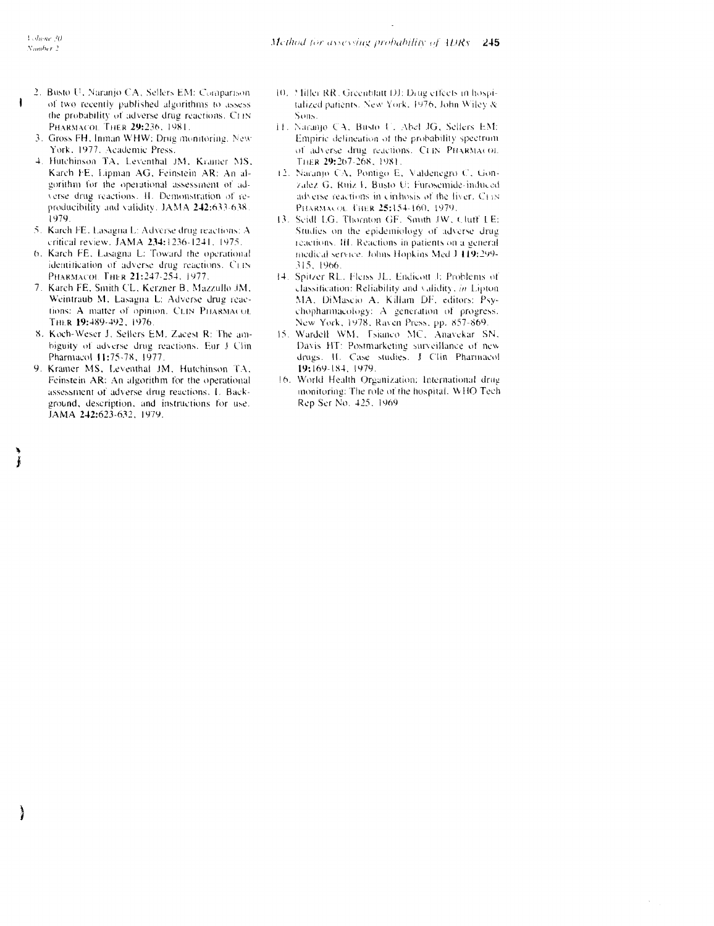Ť

- 2. Busto U. Naranjo CA, Sellers EM: Compartson.  $\frac{1}{\sqrt{1-\lambda}}$  of two recently published algorithms to assess the probability of adverse drug reactions. CLIN PHARMACOL THER 29:236, 1981.
	- 3. Gross FH, Inman WHW: Drug monitoring. New York. 1977. Academic Press.
	- 4. Hutchinson TA, Leventhal JM, Kramer MS, Karch FE, Lipman AG, Feinstein AR: An algorithm for the operational assessment of adverse drug reactions. IL Demonstration of reproducibility and validity. JAMA 242:633-638. 1979.
	- 5. Karch FE, Lasagna L: Adverse drug reactions: A critical revle\c. JAbIA **2.74:** 1236- 12-11. 1075.
	- 6. Karch FE, Lasagna L: Toward the operational identification of adverse drug reactions. CLIN PHARMACOL THER 21:247-254, 1977.
	- 7. Karch FE, Smith CL, Kerzner B, Mazzullo JM, Weintraub M, Lasagna L: Adverse drug reactions: A matter of opinion. CLIN PHARMACOL THER 19:489-492. 1976.
	- 8. Koch-Weser J. Sellers EM. Zacest R: The ambiguity of adverse drug reactions. Eur J Clin Pharmacol 11:75-78, 1977.
	- 9. Kramer MS, Leventhal JM, Hutchinson TA, Feinstein AR: An algorithm for the operational assessment of adverse drug reactions. L. Background, description, and instructions for use. **JAMA** *2-42:623-631,* 19.79.
- 10. <sup>\*</sup> Iiller RR. Greenblatt DJ: Drug cifects in hospitalized patients. New York. 1976. John Wiley & Sons.
- i1. Naranjo CA, Busto U, Abel JG, Sellers EM: Empiric delineation of the probability spectrum of adverse drug reactions. CLIN PHARMACOL THER 29:267-268, 1981.
- 12. Naranjo CA, Pontigo E. Valdenegro C. Gon $z$ alez G. Ruiz I. Busto U. Furosemide-induced adverse reactions in cirrhosis of the liver. Crist PHARMACOL. THER 25:154-160. 1979.
- 13. Seidl LG. Thoraton GF. Smith JW, Cluff 1 E; Studies on the epidemiology of adverse drugreactions. III. Reactions in patients on a general medical service. Johns Hopkins Med J 119:299-315. 1966.
- 14. Spitzer RL. Fleiss JL. Endicott J: Problems of  $\epsilon$ lassification: Reliability and validity, in Lipton MA, DiMascio A. Killam DF. editors: Psychopharmacology: A generation of progress. New York, 1978. Raven Press. pp. 857-869.
- 15. Wardell WM, Tsianco MC, Anavekar SN, Davis HT: Postmarketing surveillance of new drugs. II. Case studies. J Clin Pharmacol lY:16Y-1x4. 1979.
- 16. World Health Organization; International drug monitoring: The role of the hospital. WHO Tech-Rep Scr No. 125. 1Y69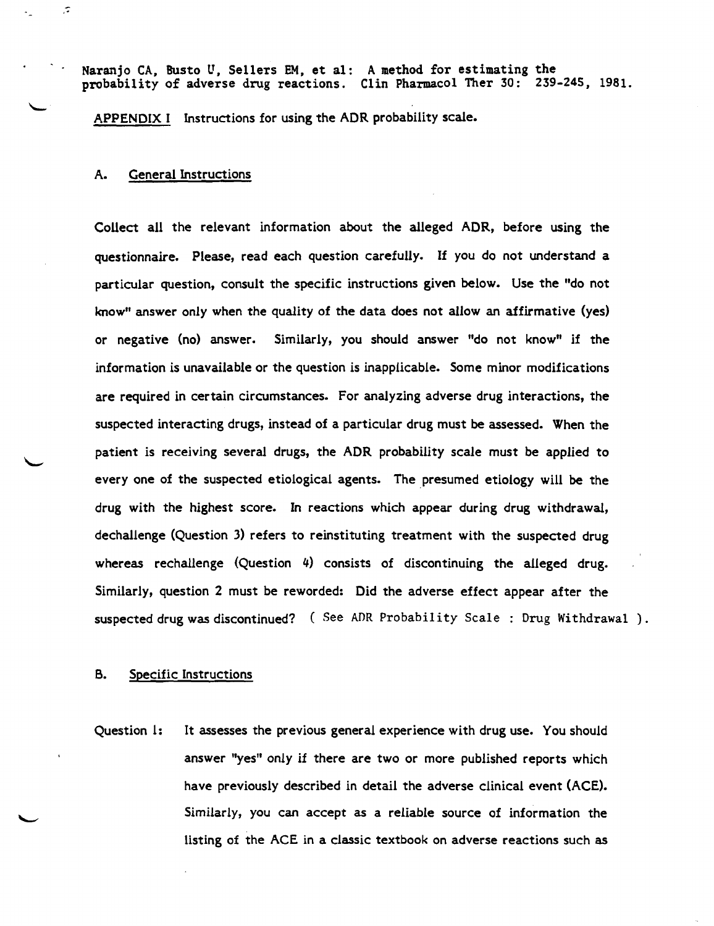Naranjo **CA,** Busto **U,** Sellers EM, et al: **A** method for estimating the probability of adverse drug reactions. Clin Pharmacol Ther **30: 239-245,** 1981.

APPENDIX I Instructions for using the ADR probability scale.

## A. General Instructions

**L** 

 $\mathcal{L}$ 

**L** 

Collect all the relevant information about the alleged ADR, before using the questionnaire. Please, read each question carefully. If you do not understand a particular question, consult the specific instructions given below. Use the "do not knoww answer only when the quality of the data does not allow an affirmative (yes) or negative (no) answer. Similarly, you should answer "do not know" if the information is unavailable or the question is inapplicable. Some minor modifications are required in certain circumstances. For analyzing adverse drug interactions, the suspected interacting drugs, instead of a particular drug must be assessed. When the patient is receiving several drugs, the ADR probability scale must be applied to every one of the suspected etiological agents. The presumed etiology will be the drug with the highest score. In reactions which appear during drug withdrawal, dechallenge (Question **3)** refers to reinstituting treatment with the suspected drug whereas rechallenge (Question **4)** consists of discontinuing the alleged drug. Similarly, question 2 must be reworded: Did the adverse effect appear after the suspected drug was discontinued? ( See **ADR** Probability Scale : **Drug** Withdrawal ) .

## **0.** Specific Instructions

Question 1: It assesses the previous general experience with drug use. You should answer "yes" only if there are two or more published reports which have previously described in detail the adverse clinical event (ACE). Similarly, you can accept as a reliable source of information the listing of the ACE in a classic textbook on adverse reactions such as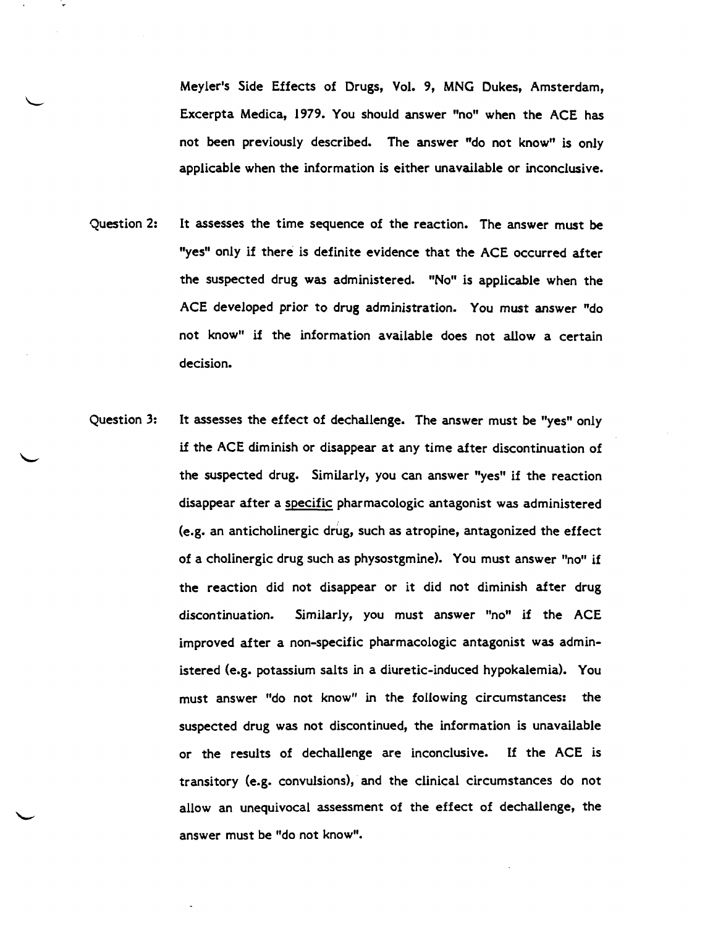Meyler's Side Effects of Drugs, Vol. 9, MNG Dukes, Amsterdam, Excerpta Medica, 1979. You should answer "no" when the ACE has not been previously described. The answer "do not know" is only applicable when the information is either unavailable or inconclusive.

- Question 2: It assesses the time sequence of the reaction. The answer must be "yes" only if there is definite evidence that the ACE occurred after the suspected drug was administered. "No" is applicable when the ACE developed prior to drug administration. You must answer "do not know" if the information available does not allow a certain decision.
- Question 3: It assesses the effect of dechallenge. The answer must be "yes" only if the ACE diminish or disappear at any time after discontinuation of the suspected drug. Similarly, you can answer "yes" if the reaction disappear after a specific pharmacologic antagonist was administered (e.g. an anticholinergic drug, such as atropine, antagonized the effect of a chalinergic drug such as physostgmine). You must answer "no" if the reaction did not disappear or it did not diminish after drug discontinuation. Similarly, you must answer "no" if the ACE improved after a non-specific pharmacologic antagonist was administered (e.g. potassium salts in a diuretic-induced hypokalemia). You must answer "do not know" in the following circumstances: the suspected drug was not discontinued, the information is unavailable or the results of dechallenge are inconclusive. If the ACE is transitory (e.g. convulsions), and the clinical circumstances do not allow an unequivocal assessment of the effect of dechallenge, the answer must be "do not know".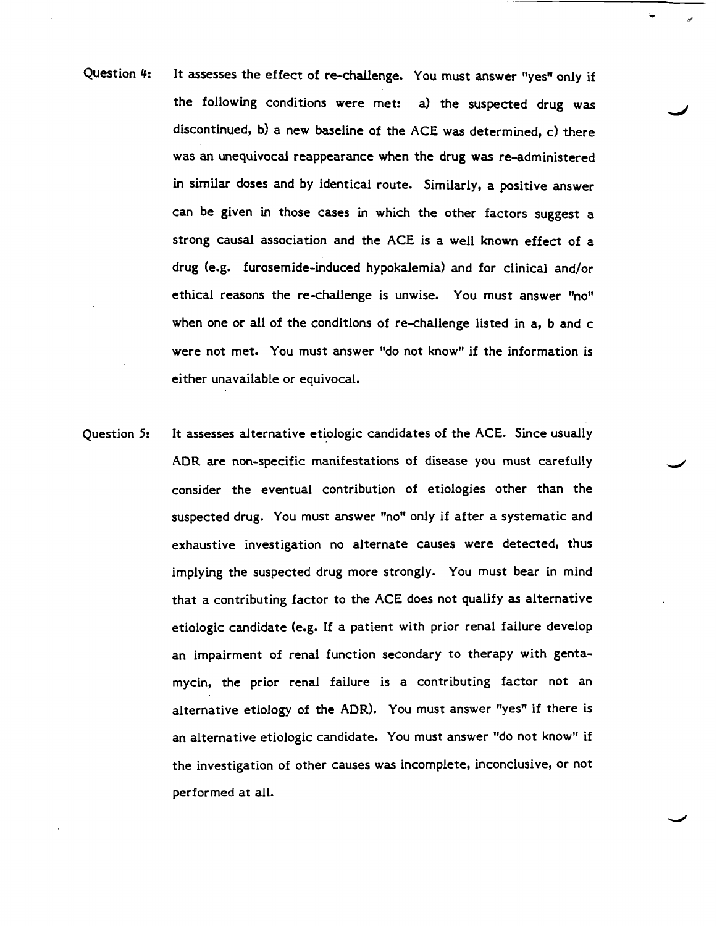- Question 4: It assesses the effect of re-challenge. You must answer "yes" only if the following conditions were met: a) the suspected drug was discontinued, b) a new baseline of the **ACE** was determined, c) there was an unequivocal reappearance when the drug was re-administered in similar doses and by identical route. Similarly, a positive answer can be given in those cases in which the other factors suggest a strong causal association and the **ACE** is a well known effect of a drug (e.g. furosemide-induced hypokalemia) and for clinical and/or ethical reasons the re-challenge is unwise. You must answer "no" when one or all of the conditions of re-challenge listed in a, b and c were not met. You must answer "do not know" if the information is either unavailable or equivocal.
- Question 5: It assesses alternative etiologic candidates of the **ACE.** Since usually **ADR** are non-specific manifestations of disease you must carefully consider the eventual contribution of etiologies other than the suspected drug. You must answer "no" only if after a systematic and exhaustive investigation no alternate causes were detected, thus implying the suspected drug more strongly. You must bear in mind that a contributing factor to the **ACE** does not qualify as alternative etiologic candidate (e.g. If a patient with prior renal failure develop an impairment of renal function secondary to therapy with gentamycin, the prior renal failure is a contributing factor not an alternative etiology of the **ADR).** You must answer "yes" if there is an alternative etiologic candidate. You must answer "do not know" if the investigation of other causes was incomplete, inconclusive, or not performed at all.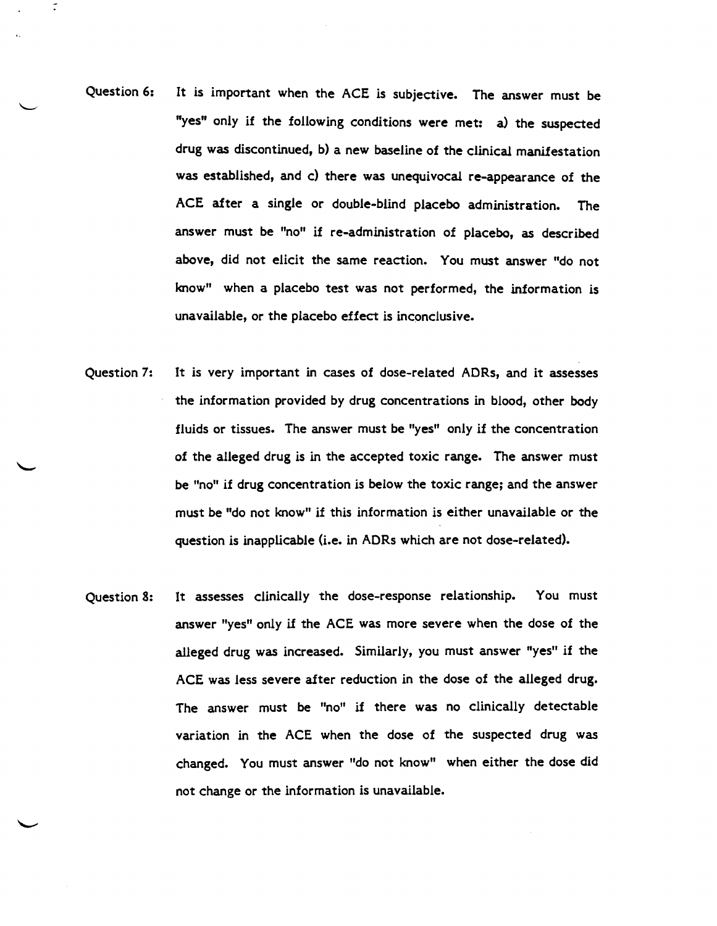Question 6: It is important when the ACE is subjective. The answer must be "ves" only if the following conditions were met: a) the suspected drug was discontinued, b) a new baseline of the clinical manifestation was established, and c) there was unequivocal re-appearance of the ACE after a single or double-blind placebo administration. The answer must be "no" if re-administration of placebo, as described above, did not elicit the same reaction. You must answer "do not know" when a placebo test was not performed, the information is unavailable, or the placebo effect is inconclusive.

 $\overline{\phantom{a}}$ 

- Question 7: It is very important in cases of dose-related ADRs, and it assesses the information provided by drug concentrations in blood, other body fluids or tissues. The answer must be "yes" only if the concentration of the alleged drug is in the accepted toxic range. The answer must be "no" if drug concentration is below the toxic range; and the answer must be "do not know" if this information is either unavailable or the question is inapplicable (i.e. in ADRs which are not dose-related).
- Question 8: It assesses clinically the dose-response relationship. You must answer "ves" only if the ACE was more severe when the dose of the alleged drug was increased. Similarly, you must answer "yes" if the ACE was less severe after reduction in the dose of the alleged drug. The answer must be "no" if there was no clinically detectable variation in the ACE when the dose of the suspected drug was changed. You must answer "do not know" when either the dose did not change or the information is unavailable.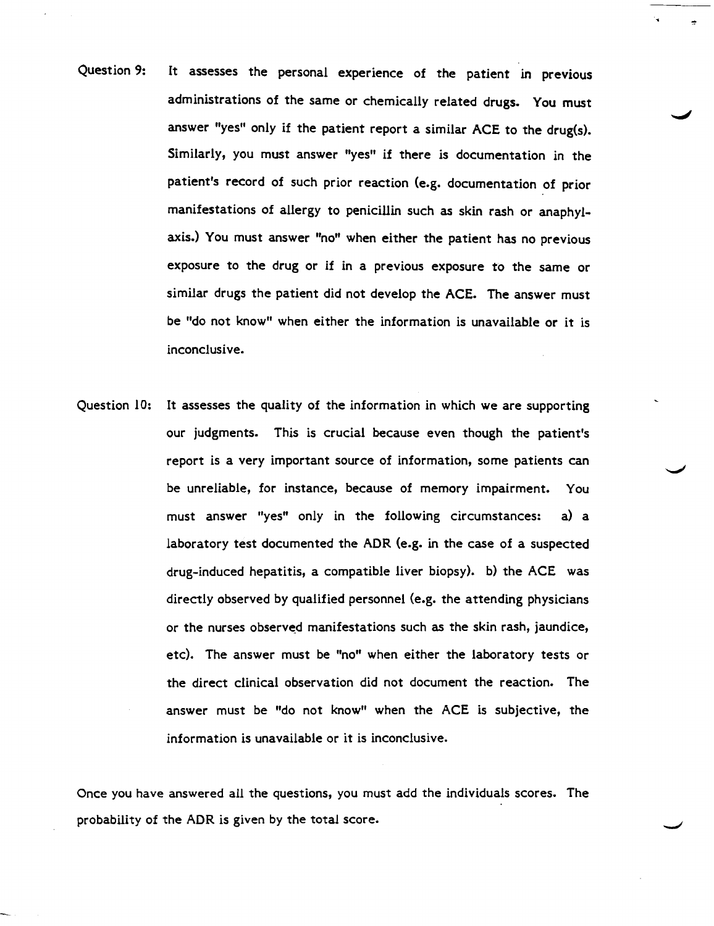- Question 9: It assesses the personal experience of the patient in previous administrations of the same or chemically related drugs. You must answer "yes" only if the patient report a similar ACE to the drug(s). Similarly, you must answer "yes" if there is documentation in the patient's record of such prior reaction (e.g. documentation of prior manifestations of allergy to penicillin such as skin rash or anaphylaxis.) You must answer "no" when either the patient has no previous exposure to the drug or if in a previous exposure to the same or similar drugs the patient did not develop the **ACE.** The answer must be "do not know" when either the information is unavailable or it is inconclusive.
- Question 10: It assesses the quality of the information in which we are supporting our judgments. This is crucial because even though the patient's report is a very important source of information, some patients can be unreliable, for instance, because of memory impairment. You must answer "yes" only in the following circumstances: a) a laboratory test documented the **ADR** (e.g. in the case of a suspected drug-induced hepatitis, a compatible liver biopsy). b) the **ACE** was directly observed by qualified personnel (e.g. the attending physicians or the nurses observed manifestations such as the skin rash, jaundice, etc). The answer must be "no" when either the laboratory tests or the direct clinical observation did not document the reaction. The answer must be "do not know" when the **ACE** is subjective, the information is unavailable or it is inconclusive.

Once you have answered all the questions, you must add the individuals scores. The probability of the **ADR** is given by the total score.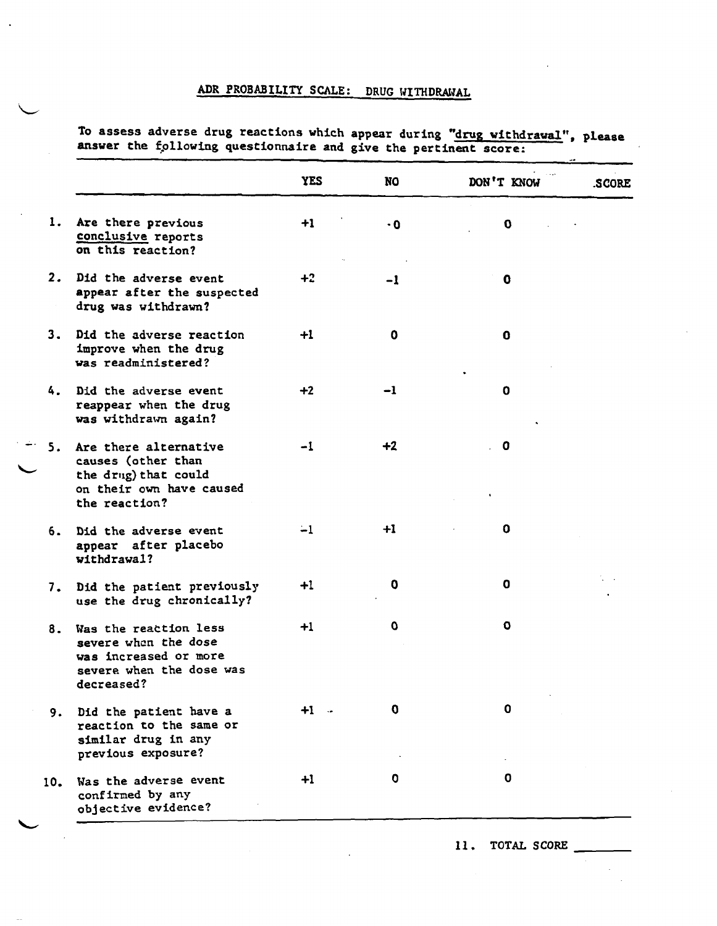# ADR PROBABILITY SCALE: DRUG WITHDRAWAL

 $\overline{\phantom{a}}$ 

 $\ddot{\phantom{a}}$ 

|  |  |                                                                  |  |  | To assess adverse drug reactions which appear during "drug withdrawal", please |  |
|--|--|------------------------------------------------------------------|--|--|--------------------------------------------------------------------------------|--|
|  |  | answer the following questionnaire and give the pertinent score: |  |  |                                                                                |  |
|  |  |                                                                  |  |  |                                                                                |  |

|    |                                                                                                                  | <b>YES</b> | <b>NO</b>    | DON'T KNOW  | .SCORE |
|----|------------------------------------------------------------------------------------------------------------------|------------|--------------|-------------|--------|
| 1. | Are there previous<br>conclusive reports<br>on this reaction?                                                    | $+1$       | $\cdot$ 0    | 0           |        |
| 2. | Did the adverse event<br>appear after the suspected<br>drug was withdrawn?                                       | +2         | $-1$         | 0           |        |
|    | Did the adverse reaction<br>improve when the drug<br>was readministered?                                         | $+1$       | $\mathbf 0$  | $\mathbf 0$ |        |
|    | Did the adverse event<br>reappear when the drug<br>was withdrawn again?                                          | $+2$       | -1           | $\mathbf 0$ |        |
|    | Are there alternative<br>causes (other than<br>the drug) that could<br>on their own have caused<br>the reaction? | $-1$       | $+2$         | 0           |        |
| 6. | Did the adverse event<br>appear after placebo<br>withdrawal?                                                     | $-1$       | $+1$         | O           |        |
|    | Did the patient previously<br>use the drug chronically?                                                          | $+1$       | $\mathbf 0$  | $\mathbf 0$ |        |
|    | Was the reaction less<br>severe when the dose<br>was increased or more<br>severe when the dose was<br>decreased? | $+1$       | $\mathbf{o}$ | O           |        |
| 9. | Did the patient have a<br>reaction to the same or<br>similar drug in any<br>previous exposure?                   | $+1 -$     | $\mathbf 0$  | 0           |        |
|    | Was the adverse event<br>confirmed by any<br>objective evidence?                                                 | $+1$       | $\mathbf 0$  | 0           |        |

 $\sim 10^{-1}$ 

**11** . **TOTAL** SCORE

 $\sim 10^7$  $\bar{z}$